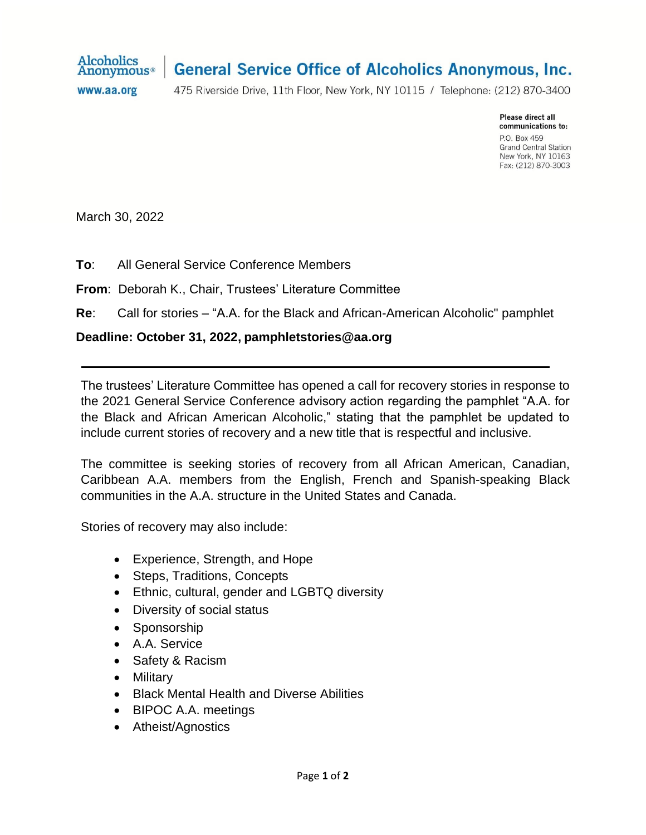

## **General Service Office of Alcoholics Anonymous, Inc.**

www.aa.org

475 Riverside Drive, 11th Floor, New York, NY 10115 / Telephone: (212) 870-3400

Please direct all communications to: P.O. Box 459 **Grand Central Station** New York, NY 10163 Fax: (212) 870-3003

March 30, 2022

**To**: All General Service Conference Members

**From**: Deborah K., Chair, Trustees' Literature Committee

**Re**: Call for stories – "A.A. for the Black and African-American Alcoholic" pamphlet

## **Deadline: October 31, 2022, pamphletstories@aa.org**

The trustees' Literature Committee has opened a call for recovery stories in response to the 2021 General Service Conference advisory action regarding the pamphlet "A.A. for the Black and African American Alcoholic," stating that the pamphlet be updated to include current stories of recovery and a new title that is respectful and inclusive.

The committee is seeking stories of recovery from all African American, Canadian, Caribbean A.A. members from the English, French and Spanish-speaking Black communities in the A.A. structure in the United States and Canada.

Stories of recovery may also include:

- Experience, Strength, and Hope
- Steps, Traditions, Concepts
- Ethnic, cultural, gender and LGBTQ diversity
- Diversity of social status
- Sponsorship
- A.A. Service
- Safety & Racism
- Military
- Black Mental Health and Diverse Abilities
- BIPOC A.A. meetings
- Atheist/Agnostics